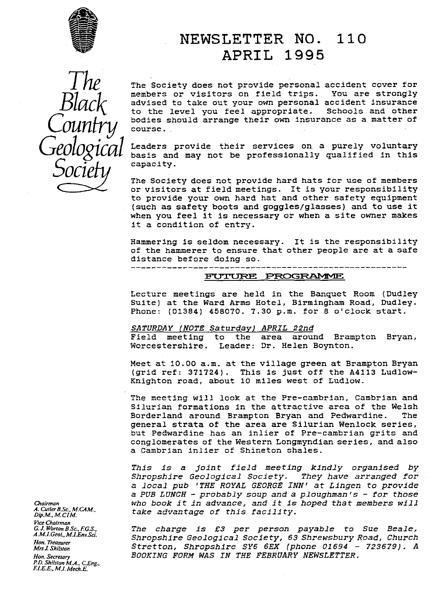

# NEWSLETTER NO. 110 APRIL 1995



The Society does not provide personal accident cover for members or visitors on field trips. You are strongly *Black* members or visitors on field trips. You are strongly<br>b advised to take out your own personal accident insurance<br>to the level you feel appropriate. Schools and other  $AC$  advised to take out your own personal accident insurance to the level you feel appropriate. Schools and other bodies should arrange their own insurance as a matter of course.

*Geological* Leaders provide their services on. a purely voluntary basis and may not be professionally qualified in this capacity.

> The Society does not provide hard hats for use of members or visitors at field meetings. It is your responsibility to provide your own hard hat and other safety equipment (such as safety boots and goggles/glasses) and to use it when you feel it is necessary or when a site owner makes it a condition of entry.

> Hammering is seldom necessary. It is the responsibility of the hammerer to ensure that other people are at a safe distance before doing so.<br>---------------------------------------

#### **FUTURE PROGRAMME**

Lecture meetings are held in the Banquet Room (Dudley Suite) at the Ward Arms Hotel, Birmingham Road, Dudley. Phone: (01384) 458070. 7.30 p.m. for 8 o'clock start.

*SATURDAY NOTE Saturday) APRIL 22nd* the area around Brampton Bryan, Worcestershire. Leader: Dr. Helen Boynton.

Meet at 10.00 a.m. at the village green at Brampton Bryan (grid ref: 371724). This is just off the A4113 Ludlow-Knighton road, about 10 miles west of Ludlow.

The meeting will look at the Pre-cambrian, Cambrian and Silurian formations in the attractive area of the Welsh Borderland around Brampton Bryan and Pedwardine. general strata of the area are Silurian Wenlock series, but Pedwardine has an inlier of Pre-cambrian grits and conglomerates of the Western Longmyndian series, and also a Cambrian inlier of Shineton shales.

This is a *joint field meeting kindly organised by* Shropshire Geological Society. They have arranged for *a local pub 'THE ROYAL GEORGE INN' at Lingen to provide* a PUB LUNCH -- probably soup *and a ploughman's - for those Chairman* who book *it in* advance, and *it is hoped that* members will *take advantage of this facility.* 

*G.J.WorronB\_Sc.,FG.S,* The charge is £3 per person *payable to Sue* Beale, *A.M.LGeoI.,M.L\_EnvSci.* Shropshire Geological Society, 63 Shrewsbury *Road, Church A.M.I.Geol., M.I.Env.Sci.* Shropshire Geological Society, 63 Shrewsbury Road, Church<br> *Hon.Treasurer* Stretton, Shropshire SY6 6EX (phone 01694 - 723679). A<br> *Mrs J. Shilston POOKING RODY WAS IN THE BERRIARY Hon. Secretary BOOKING FORM WAS IN THE FEBRUARY NEWSLETTER.*

*vice Chairman Hon. Treasurer*<br>*Mrs J. Shilston P.D. Shilston M.A., C.Eng., ELE.E, M.!\_ Mech.E.*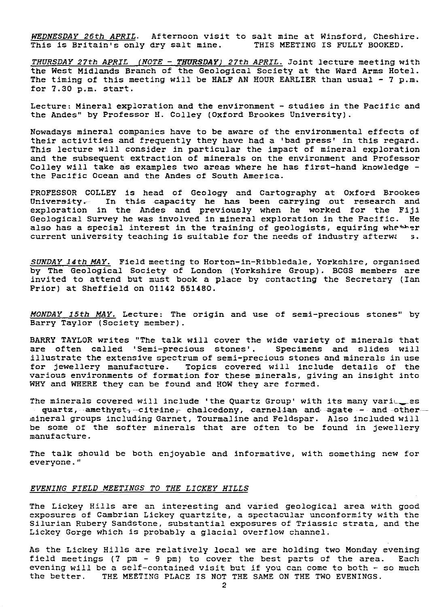*WEDNESDAY 26th APRIL .* Afternoon visit to salt mine at Winsford, Cheshire. This is Britain's only dry salt mine.

*THURSDAY 27th APRIL (NOTE - THURSDAY) <sup>2</sup> 7th APRIL. Joint* lecture meeting with the West Midlands Branch of the Geological Society at the Ward Arms Hotel. The timing of this meeting will be HALF AN HOUR EARLIER than usual - 7 p.m. for 7.30 p.m. start.

Lecture: Mineral exploration and the environment - studies in the Pacific and the Andes" by Professor H. Colley (Oxford Brookes University).

Nowadays mineral companies have to be aware of the environmental effects of their activities and frequently they have had a 'bad press' in this regard. This lecture will consider in particular the impact of mineral exploration and the subsequent extraction of minerals on the environment and Professor Colley will take as examples two areas where he has first-hand knowledge the Pacific Ocean and the Andes of South America.

PROFESSOR COLLEY is head of Geology and Cartography at Oxford Brookes University. In this capacity he has been carrying out research and exploration in the Andes and previously when he worked for the Fiji Geological Survey he was involved in mineral exploration in the Pacific. He also has a special interest in the training of geologists, equiring whether current university teaching is suitable for the needs of industry afterwas.

*SUNDAY 14th* MAY. Field meeting to Horton-in-Ribbledale, Yorkshire, organised by The Geological Society of London (Yorkshire Group). BCGS members are invited to attend but must book a place by contacting the Secretary (Ian Prior) at Sheffield on 0142 551480.

*MONDAY 15th MAY.* Lecture: The origin and use of semi-precious stones" by Barry Taylor (Society member).

BARRY TAYLOR writes "The talk will cover the wide variety of minerals that are often called 'Semi-precious stones'. Specimens and slides will illustrate the extensive spectrum of semi-precious *stones* and minerals in use Topics covered will include details of the various environments of formation for these minerals, giving an insight into WHY and WHERE they can be found and HOW they are formed.

The minerals covered will include 'the Quartz Group' with its many varitees  $\frac{q \texttt{uartz}}{r}$  amethyst<del>, citri</del>ne, chalcedony, carne<del>lian</del> and agate - and other mineral groups including Garnet, Tourmaline and Feldspar. Also included will be some of the softer minerals that are often to be found in jewellery manufacture.

The talk should be both enjoyable and informative, with something new for everyone."

#### *EVENING FIELD MEETINGS TO THE LICKEY HILLS*

The Lickey *Hills are* an interesting and varied geological area with good exposures of Cambrian Lickey quartzite, a spectacular unconformity with the Silurian Rubery Sandstone, substantial exposures of Triassic strata, and the Lickey Gorge which is probably a glacial overflow channel.

As the Lickey Hills are relatively local we are holding two Monday evening field meetings (7 pm - 9 pm) to cover the best parts of the area. Each evening will be a self-contained visit but if you can come to both - so much the better. THE MEETING PLACE IS NOT THE SAME ON THE TWO EVENINGS.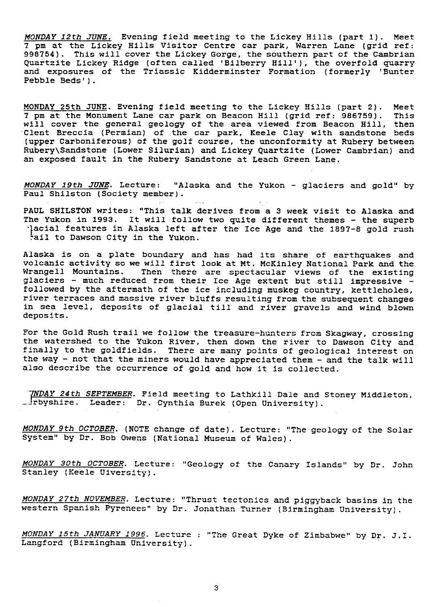MONDAY 12th JUNE. Evening field meeting to the Lickey Hills (part 1). Meet 7 pm at the Lickey Hills Visitor Centre car park, Warren Lane (grid ref: 998754). This will cover the Lickey Gorge, the southern part of the Cambrian Quartzite Lickey Ridge (often called 'Bilberry Hill'), the overfold quarry and exposures of the Triassic Kidderminster Formation (formerly 'Bunter Pebble Beds').

MONDAY 25th JUNE. Evening field meeting to the Lickey Hills (part 2). Meet 7 pm at the Monument Lane car park on Beacon Hill (grid ref: 986759). This will cover the general geology of the area viewed from Beacon Hill, then Clent Breccia (Permian) of the car park, Keele Clay with sandstone bed: (upper Carboniferous) of the golf course, the unconformity at Rubery between Rubery\Sandstone (Lower Silurian) and Lickey Quartzite (Lower Cambrian) and an exposed fault in the Rubery Sandstone at Leach Green Lane.

MONDAY 19th JUNE. Lecture: "Alaska and the Yukon - glaciers and gold" by Paul Shilston (Society member).

PAUL SHILSTON writes: "This talk derives from a 3 week visit to Alaska and The Yukon in 1993. It will follow two quite different themes - the superb ail to Dawson City in the Yukon. Hacial features in Alaska left after the Ice Age and the 1897-8 gold rush

Alaska is on a plate boundary and has had its share of earthquakes and volcanic activity so we will first look at Mt. McKinley National Park and the Wrangell Mountains. Then there are spectacular views of the existing glaciers - much reduced from their Ice Age extent but still impressive  $$ followed by the aftermath of the ice including muskeg country, kettleholes, river terraces and massive river bluffs resulting from the subsequent changes in sea level, deposits of glacial till and river gravels and wind blown deposits.

For the Gold Rush trail we follow the treasure-hunters from Skagway, crossing the watershed to the Yukon River, then down the river to Dawson City and finally to the goldfields. There are many points of geological interest on the way - not that the miners would have appreciated them - and the talk will also describe the occurrence of gold and how it is collected.

TNDAY 24th SEPTEMBER. Field meeting to Lathkill Dale and Stoney Middleton, \_^rbyshire. Leader: Dr. Cynthia Burek (Open University).

MONDAY 9th OCTOBER. (NOTE change of date). Lecture: "The geology of the Solar System" by Dr. Bob Owens (National Museum of Wales).

MONDAY 30th OCTOBER. Lecture: "Geology of the Canary Islands" by Dr. John Stanley (Keele Uiversity).

MONDAY 27th NOVEMBER. Lecture: "Thrust tectonics and piggyback basins in the western Spanish Pyrenees" by Dr. Jonathan Turner (Birmingham University).

MONDAY 15th JANUARY 1996. Lecture : "The Great Dyke of Zimbabwe" by Dr. J.I. Langford (Birmingham University).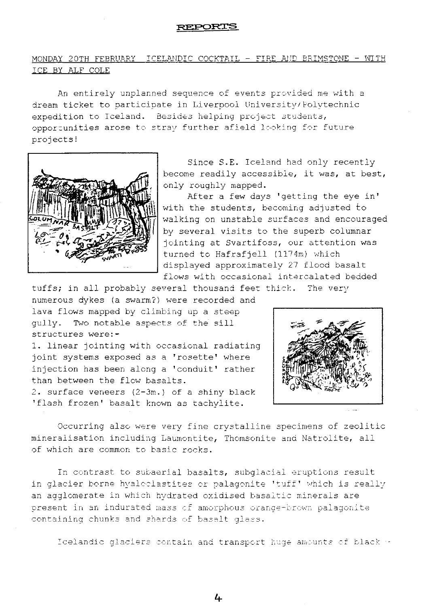#### **REPORTS**

## MONDAY 20TH FEBRUARY ICELANDIC COCKTAIL - FIRE AND BRIMSTONE - WITH I CE BY ALF COLE

An entirely unplanned sequence of events provided me with a dream ticket to participate in Liverpool Universit<sup>y</sup> / Polytechnic expedition to Iceland. besides helping project students, opportunities arose to stray further afield looking for future projects!



Since S.E. Iceland had only recently become readily accessible, it was, at best, only roughly mapped.

After a few days 'getting the eye in' with the students, becoming adjusted to walking on unstable surfaces and encouraged by several visits to the superb columnar jointing at Svartifoss, our attention was turned to Hafrafjell (1174m) which displayed approximately 27 flood basalt flows with occasional intercalated bedded

tuffs; in all probably several thousand feet thick. The very numerous dykes (a swarm?) were recorded and

lava flows mapped by climbing up a steep gully. Two notable aspects of the sill structures were:-

1. linear jointing with occasional radiating joint systems exposed as a 'rosette' where injection has been along a 'conduit' rather than between the flow basalts.

2. surface veneers  $(2-3m.)$  of a shiny black 'flash frozen' basalt known as tachylite.



Occurring also were very fine crystalline specimens of zeolitic mineralisation including Laumontite, Thomsonite and Natrolite, all of which are common to basic rocks.

In contrast to subaerial basalts, subglacial eruptions result in glacier borne hyaloclastites or palagonite 'tuff' which is really an agglomerate in which hy drated oxidised basaltic minerals are present in an indurated mass of amorphous orange-brown palagonit containing chunks and shards of basalt glass.

Icelandic glaciers contain and transport huge amounts of black  $\cdot$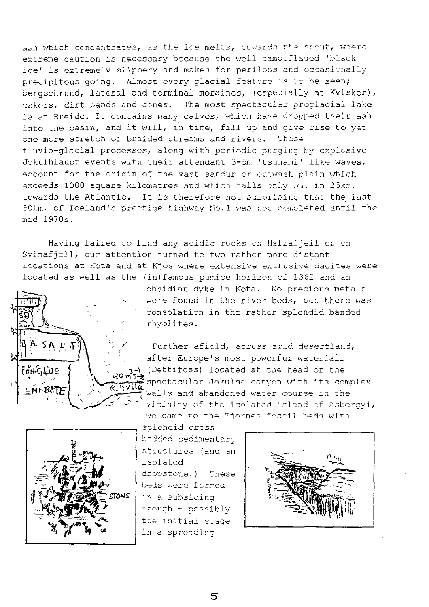ash which concentrates, as the ice melts, towards the snout, where extreme caution is necessary because the well camouflaged 'black ice' is extremely slippery and makes for perilous and occasionally precipitous going. Almost every glacial feature is to be seen; bergschrund, lateral and terminal moraines, (especially at Kvisker), eskers, dirt bands and cones. The most spectacular proglacial lake is at Breide. It contains many calves, which have dropped their ash into the basin, and it will, in time, fill up and give rise to yet one more stretch of braided streams and rivers. These fiuvio-glacial processes, along with periodic purging by explosive Jokulhlaupt events with their attendant 3-5m 'tsunami' like waves, account for the origin of the vast sandur or outwash plain which exceeds 1000 square kilometres and which falls only 5m. in 25km. towards the Atlantic. it is therefore not surprising that the last 50km. of Iceland's prestige highway No.1 was not completed until the mid 1970s.

Having failed to find any acidic rocks on Hafrafjell or on Svinafjell, our attention turned to two rather more distant locations at Kota and at Kjos where extensive extrusive dacites were located as well as the (in)famous pumice horizon of 1362 and an



obsidian dyke in Kota. No precious metals were found in the river beds, but there was consolation in the rather splendid banded rhyolites.

Further afield, across arid desertland, after Europe's most powerful waterfall (Dettifoss) located at the head of the spectacular Jokulsa can<sup>y</sup> on with its complex **=Mt** R.1t **}** walls and abandoned water course in the vicinity of the isolated island of Asbergyi, we came to the Tiornes fossil beds with



splendid cross bedded sedimentary structures (and an isolated dropstone!) These beds were formed in a subsiding trough - possibly the initial stage in a spreading

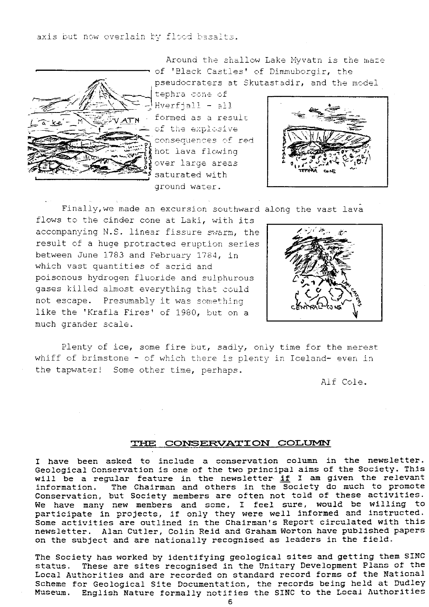axis but now overlain by flood bas

Around the shallow Lake Myvatn is the maze of 'Black Castles' of Dimmuborgir, the



pseudocraters at Skutastadir, and the model /}? cone

Hverfjall - all formed as a result of the explosive .<br>consequences of red hot lava flowing over large areas saturated with ground water.



Finally,we made an excursion southward along the vast lava

flows to the cinder cone at Laki, with its accompanying N.S. linear fissure swarm, the result of a huge protracted eruption series between June 1783 and February 1784, in which vast quantities of acrid and poisonous hydrogen fluoride and sulphurous gases killed almost everything that could not escape. Presumably it was something like the 'Krafla Fires' of 1980, but on a much grander scale.



Plenty of ice, some fire but, sadly, only time for the merest whiff of brimstone - of which there is plenty in Iceland- even in the tapwater! Some other time, perhaps.

Alf Cole.

#### THE CONSERVATION COLUMN

I have been asked to include a conservation column in the newsletter. Geological Conservation is one of the two principal aims of the Society. This will be a regular feature in the newsletter  $\inf$  I am given the relevant information. The Chairman and others in the Society do much to promote Conservation, but Society members are often not told of these activities. We have many new members and some, I feel sure, would be willing to participate in projects, if only they were well informed and instructed. Some activities are outlined in the Chairman's Report circulated with this newsletter. Alan Cutler, Colin Reid and Graham Worton have published papers on the subject and are nationally recognised as leaders in the field.

The Society has worked by identifying geological sites and getting them SINC status. These are sites recognised in the Unitary Development Plans of the Local Authorities and are recorded on standard record forms of the National Scheme for Geological Site Documentation, the records being held at Dudley Museum. English Nature formally notifies the SINC to the Local Authorities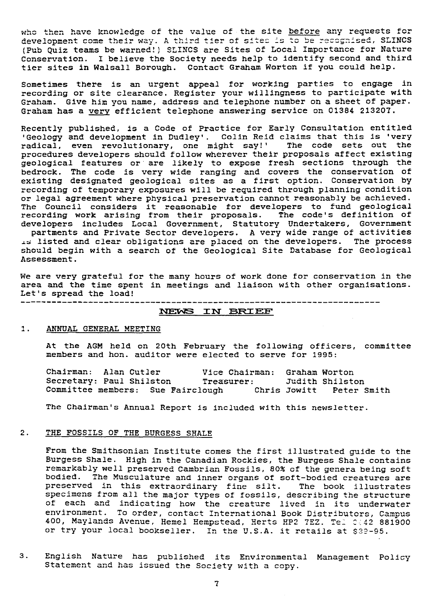who then have knowledge of the value of the site before any requests for who then have knowledge of the value of the site <u>before</u> any requests for<br>development come their way. A third tier of sites is to be recognised, SLINCS<br>(Pub Ouis teams be unuped)) SLINCS and Sites of Local Importance for ;Pub Quiz teams be warned!,` SLINCS are Sites of Local Importance for Nature Conservation. I believe the Society needs help to identify second and third tier sites in Walsall Borough. Contact Graham Worton if you could help.

Sometimes there is an urgent appeal for working parties to engage in recording or site clearance. Register your willingness to participate with Graham. Give him you name, address and telephone number on a sheet of paper. Graham has a very efficient telephone answering service on 01384 213207.

Recently published, is a Code of Practice for Early Consultation entitled 'Geology and development in Dudley'. Colin Reid claims that this is 'very radical, even revolutionary, one might say!" The code sets out the procedures developers should follow wherever their proposals affect existing geological features or are likely to expose fresh sections through the bedrock. The code is very wide ranging and covers the conservation of existing designated geological sites as a first option. Conservation by recording of temporary exposures will be required through planning condition or legal agreement where physical preservation cannot reasonably be achieved. The Council considers it reasonable for developers to fund geologica recording work arising from their proposals. The code's definition of developers includes Local Government, Statutory Undertakers, Government

partments and Private Sector developers. A very wide range of activities 15 listed and clear obligations are placed on the developers. The process should begin with a search of the Geological Site Database for Geological Assessment.

We are very grateful for the many hours of work done for conservation in the area and the time spent in meetings and liaison with other organisations. Let's spread the load! -----------------------------

# WE 1W SRI EE'

#### 1. ANNUAL GENERAL MEETING

At the AGM held on 20th February the following officers, committee members and hon. auditor were elected to serve for 1995:

| Chairman: Alan Cutler    |  |                                   | Vice Chairman: Graham Worton |                          |  |
|--------------------------|--|-----------------------------------|------------------------------|--------------------------|--|
| Secretary: Paul Shilston |  |                                   | Treasurer:                   | Judith Shilston          |  |
|                          |  | Committee members: Sue Fairclough |                              | Chris Jowitt Peter Smith |  |

The Chairman's Annual Report is included with this newsletter.

#### 2. THE FOSSILS OF THE BURGESS SHALE

From the Smithsonian Institute comes the first illustrated guide to the Burgess Shale. High in the Canadian Rockies, the Burgess Shale contains remarkably well preserved Cambrian Fossils, 809 of the genera being soft bodied. The Musculature and inner organs of soft-bodied creatures are preserved in this extraordinary fine silt. The book illustrates specimens from all the major types of fossils, describing the structure of each and indicating how the creature lived in its underwater environment. To order, contact International Book Distributors, Campus 400, Maylands Avenue, Hemel Hempstead, Herts HP2 7EZ. Tel 0442 881900 or try your local bookseller. In the U.S.A. it retails at \$39-95.

3. English Nature has published its Environmental Management Policy Statement and has issued the Society with a copy.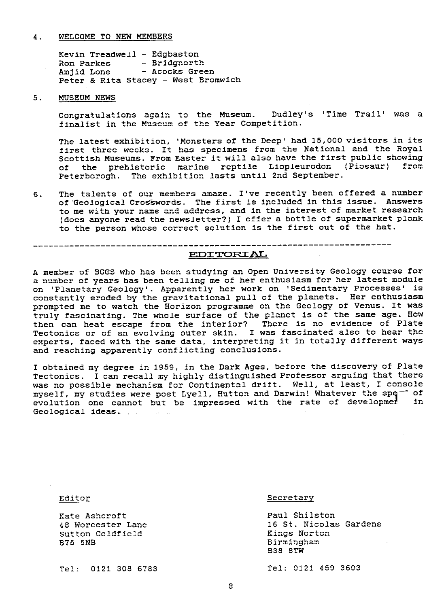#### 4. WELCOME TO NEW MEMBERS

Kevin Treadwell - Edgbaston Ron Parkes - Bridgnorth Amjid Lone - Acocks Green Peter & Rita Stacey - West Bromwich

#### 5. MUSEUM NEWS

Congratulations again to the Museum. Dudley's 'Time Trail' was a finalist in the Museum of the Year Competition.

The latest exhibition, 'Monsters of the Deep' had 15,000 visitors in its first three weeks. It has specimens from the National and the Royal Scottish Museums. From Easter it will also have the first public showing of the prehistoric marine reptile Liopleurodon (Piosaur) from Peterborogh. The exhibition lasts until 2nd September.

6. The talents of our members amaze. I've recently been offered a number of 'Geological Crosswords'. The first is included in this issue. Answers to me with your name and address, and in the interest of market research (does anyone read the newsletter?) I offer a bottle of supermarket plonk to the person whose correct solution is the first out of the hat.

EI]2 TQ J AL

A member of BCGS who has been studying an Open University Geology course for a number of years has been telling me of her enthusiasm for her latest module on 'Planetary Geology'. Apparently her work on 'Sedimentary Processes' is constantly eroded by the gravitational pull of the planets. Her enthusiasm prompted me to watch the Horizon programme on the Geology of Venus. It was truly fascinating. The whole surface of the planet is of the same age. How then can heat escape from the interior? There is no evidence of Plate Tectonics or of an evolving outer skin. I was fascinated also to hear the experts, faced with the same data, interpreting it in totally different ways and reaching apparently conflicting conclusions.

I obtained my degree in 1959, in the Dark Ages, before the discovery of Plate Tectonics. I can recall my highly distinguished Professor arguing that there was no possible mechanism for Continental drift. Well, at least, I console myself, my studies were post Lyell, Hutton and Darwin! Whatever the spq<sup>-</sup> of evolution one cannot but be impressed with the rate of developmer\_ in Geological ideas.

Exate Ashcroft Example 2012 18 Paul Shilston<br>18 Worcester Lane 16 St. Nicolas Sutton Coldfield<br>B75 5NB

#### Editor Secretary

16 St. Nicolas Gardens<br>Kings Norton Birmingham B38 8TW

Tel: 0121 308 6783 Tel: 0121 459 3603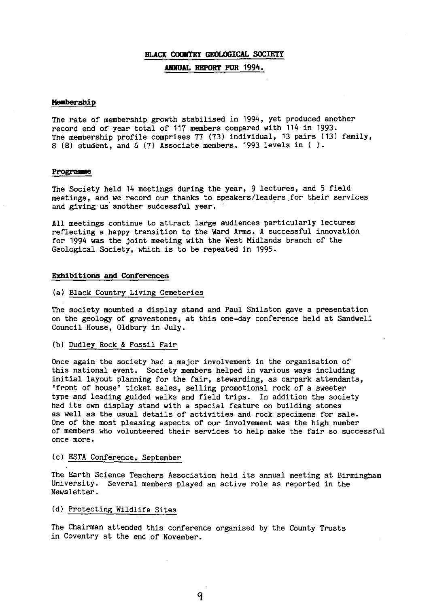### **BLACK COUNTRY GEOLOGICAL SOCIETY ANNUAL REPORT FOR 1994.**

#### Membership

The rate of membership growth stabilised in 1994, yet produced another record end of year total of 117 members compared with 114 in 1993. The membership profile comprises 77 (73) individual, 13 pairs (13) family, 8 (8) student, and 6 (7) Associate members. 1993 levels in ( ).

#### Programme

The Society held 14 meetings during the year, 9 lectures, and 5 field meetings, and we record our thanks to speakers/leaders for their, services and giving us another successful year.

All meetings continue to attract large audiences particularly lectures reflecting a happy transition to the Ward Arms. A successful innovation for 1994 was the joint meeting with the West Midlands branch of the Geological Society, which is to be repeated in 1995.

#### **Exhibitions and Conferences**

#### (a) Black Country Living Cemeteries

The society mounted a display stand and Paul Shilston gave a presentation on the geology of gravestones, at this one-day conference held at Sandwell Council House, Oldbury in July.

#### (b) Dudley Rock & Fossil Fair

Once again the society had a major involvement in the organisation of this national event. Society members helped in various ways including initial layout planning for the fair, stewarding, as carpark attendants, 'front of house' ticket sales, selling promotional rock of a sweeter type and leading guided walks and field trips. In addition the society had its own display stand with a special feature on building stones as well as the usual details of activities and rock specimens for sale. One of the most pleasing aspects of our involvement was the high number of members who volunteered their services to help make the fair so successful once more.

#### (c) ESTA Conference, September

The Earth Science Teachers Association held its annual meeting at Birmingham University. Several members played an active role as reported in the Newsletter.

### (d) Protecting Wildlife Sites

The Chairman attended this conference organised by the County Trusts in Coventry at the end of November.

9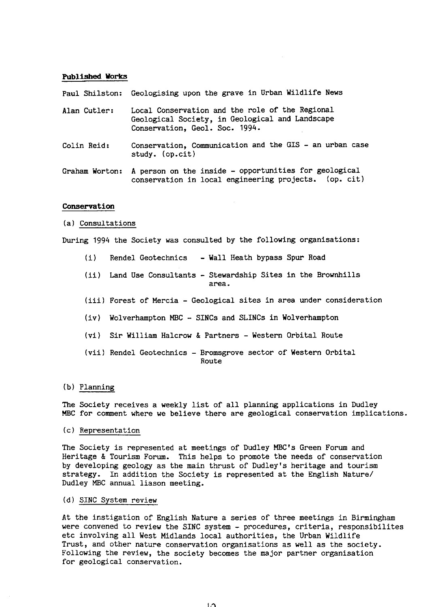#### **Published Works**

Paul Shilston: Geologising upon the grave in Urban Wildlife News

- Alan Cutler: Local Conservation and the role of the Regional Geological Society, in Geological and Landscape Conservation, Geol. Soc. 1994.
- Colin Reid: Conservation, Communication and the GIS an urban case study. (op.cit)
- Graham Worton: A person on the inside opportunities for geological conservation in local engineering projects. (op. cit)

#### **Conservation**

(a) Consultations

During 1994 the Society was consulted by the following organisations:

- (i) Rendel Geotechnics Wall Heath bypass Spur Road
- (ii) Land Use Consultants Stewardship Sites in the Brownhills area.
- (iii)Forest of Mercia Geological sites in area under consideration
- (iv) Wolverhampton MBC -» SINCs and SLINCs in Wolverhampton
- (vi) Sir William Halcrow & Partners Western Orbital Route
- (vii) Rendel Geotechnics Bromsgrove sector of Western Orbital Route

#### (b) Planning

The Society receives a weekly list of all planning applications in Dudley MBC for comment where we believe there are geological conservation implications.

(c) Representation

The Society is represented at meetings of Dudley MBC's Green Forum and Heritage & Tourism Forum. This helps to promote the needs of conservation by developing geology as the main thrust of Dudley's heritage and tourism strategy. In addition the Society is represented at the English Nature/ Dudley MBC annual liason meeting.

(d) SINC System review

At the instigation of English Nature a series of three meetings in Birmingham were convened to review the SINC system - procedures, criteria, responsibilites etc involving all West Midlands local authorities, the Urban Wildlife Trust, and other nature conservation organisations as well as the society. Following the review, the society becomes the major partner organisation for geological conservation.

 $\mathbf{L}$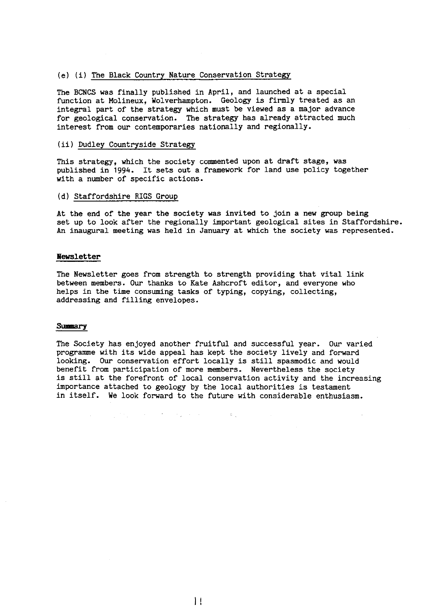#### (e) (i) The Black Country Nature Conservation Strategy

The BCNCS was finally published in April, and launched at a special function at Molineux, Wolverhampton. Geology is firmly treated as an integral part of the strategy which must be viewed as a major advance for geological conservation. The strategy has already attracted much interest from our contemporaries nationally and regionally.

#### (ii) Dudley Countryside Strategy

This strategy, which the society commented upon at draft stage, was published in 1994. It sets out a framework for land use policy together with a number of specific actions.

#### (d) Staffordshire RIGS Group

At the end of the year the society was invited to join a new group being set up to look after the regionally important geological sites in Staffordshire. An inaugural meeting was held in January at which the society was represented.

#### **Pkwsletter**

The Newsletter goes from strength to strength providing that vital link between members. Our thanks to Kate Ashcroft editor, and everyone who helps in the time consuming tasks of typing, copying, collecting, addressing and filling envelopes.

#### Summary

The Society has enjoyed another fruitful and successful year. Our varied programme with its wide appeal has kept the society lively and forward looking. Our conservation effort locally is still spasmodic and would benefit from participation of more members. Nevertheless the society is still at the forefront of local conservation activity and the increasing importance attached to geology by the local authorities is testament in itself. We look forward to the future with considerable enthusiasm.

**2. "我们的人的人"。** 

 $\mathbf{1}$